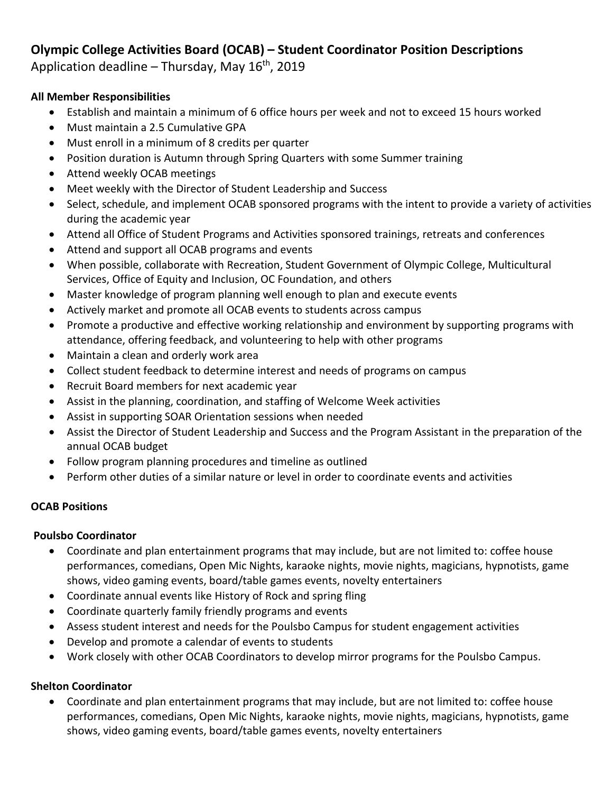# **Olympic College Activities Board (OCAB) – Student Coordinator Position Descriptions**

Application deadline – Thursday, May  $16<sup>th</sup>$ , 2019

## **All Member Responsibilities**

- Establish and maintain a minimum of 6 office hours per week and not to exceed 15 hours worked
- Must maintain a 2.5 Cumulative GPA
- Must enroll in a minimum of 8 credits per quarter
- Position duration is Autumn through Spring Quarters with some Summer training
- Attend weekly OCAB meetings
- Meet weekly with the Director of Student Leadership and Success
- Select, schedule, and implement OCAB sponsored programs with the intent to provide a variety of activities during the academic year
- Attend all Office of Student Programs and Activities sponsored trainings, retreats and conferences
- Attend and support all OCAB programs and events
- When possible, collaborate with Recreation, Student Government of Olympic College, Multicultural Services, Office of Equity and Inclusion, OC Foundation, and others
- Master knowledge of program planning well enough to plan and execute events
- Actively market and promote all OCAB events to students across campus
- Promote a productive and effective working relationship and environment by supporting programs with attendance, offering feedback, and volunteering to help with other programs
- Maintain a clean and orderly work area
- Collect student feedback to determine interest and needs of programs on campus
- Recruit Board members for next academic year
- Assist in the planning, coordination, and staffing of Welcome Week activities
- Assist in supporting SOAR Orientation sessions when needed
- Assist the Director of Student Leadership and Success and the Program Assistant in the preparation of the annual OCAB budget
- Follow program planning procedures and timeline as outlined
- Perform other duties of a similar nature or level in order to coordinate events and activities

# **OCAB Positions**

## **Poulsbo Coordinator**

- Coordinate and plan entertainment programs that may include, but are not limited to: coffee house performances, comedians, Open Mic Nights, karaoke nights, movie nights, magicians, hypnotists, game shows, video gaming events, board/table games events, novelty entertainers
- Coordinate annual events like History of Rock and spring fling
- Coordinate quarterly family friendly programs and events
- Assess student interest and needs for the Poulsbo Campus for student engagement activities
- Develop and promote a calendar of events to students
- Work closely with other OCAB Coordinators to develop mirror programs for the Poulsbo Campus.

# **Shelton Coordinator**

 Coordinate and plan entertainment programs that may include, but are not limited to: coffee house performances, comedians, Open Mic Nights, karaoke nights, movie nights, magicians, hypnotists, game shows, video gaming events, board/table games events, novelty entertainers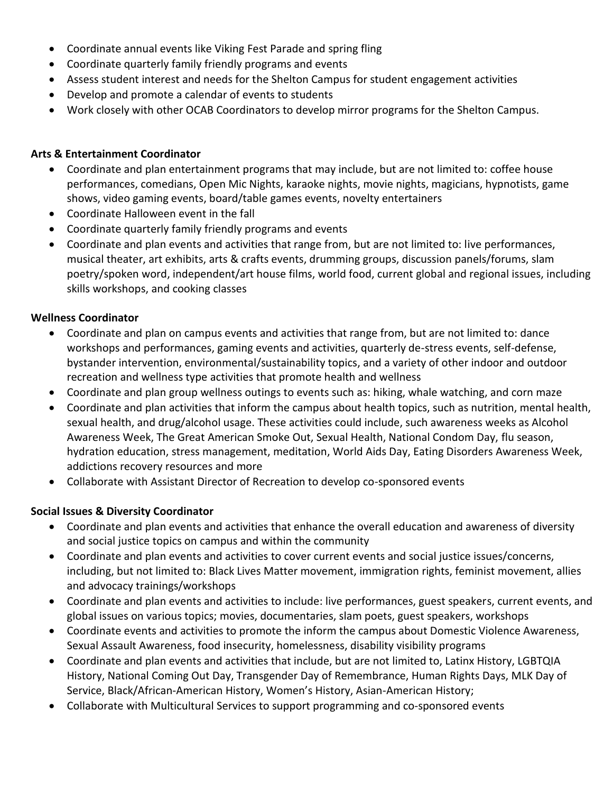- Coordinate annual events like Viking Fest Parade and spring fling
- Coordinate quarterly family friendly programs and events
- Assess student interest and needs for the Shelton Campus for student engagement activities
- Develop and promote a calendar of events to students
- Work closely with other OCAB Coordinators to develop mirror programs for the Shelton Campus.

## **Arts & Entertainment Coordinator**

- Coordinate and plan entertainment programs that may include, but are not limited to: coffee house performances, comedians, Open Mic Nights, karaoke nights, movie nights, magicians, hypnotists, game shows, video gaming events, board/table games events, novelty entertainers
- Coordinate Halloween event in the fall
- Coordinate quarterly family friendly programs and events
- Coordinate and plan events and activities that range from, but are not limited to: live performances, musical theater, art exhibits, arts & crafts events, drumming groups, discussion panels/forums, slam poetry/spoken word, independent/art house films, world food, current global and regional issues, including skills workshops, and cooking classes

## **Wellness Coordinator**

- Coordinate and plan on campus events and activities that range from, but are not limited to: dance workshops and performances, gaming events and activities, quarterly de-stress events, self-defense, bystander intervention, environmental/sustainability topics, and a variety of other indoor and outdoor recreation and wellness type activities that promote health and wellness
- Coordinate and plan group wellness outings to events such as: hiking, whale watching, and corn maze
- Coordinate and plan activities that inform the campus about health topics, such as nutrition, mental health, sexual health, and drug/alcohol usage. These activities could include, such awareness weeks as Alcohol Awareness Week, The Great American Smoke Out, Sexual Health, National Condom Day, flu season, hydration education, stress management, meditation, World Aids Day, Eating Disorders Awareness Week, addictions recovery resources and more
- Collaborate with Assistant Director of Recreation to develop co-sponsored events

# **Social Issues & Diversity Coordinator**

- Coordinate and plan events and activities that enhance the overall education and awareness of diversity and social justice topics on campus and within the community
- Coordinate and plan events and activities to cover current events and social justice issues/concerns, including, but not limited to: Black Lives Matter movement, immigration rights, feminist movement, allies and advocacy trainings/workshops
- Coordinate and plan events and activities to include: live performances, guest speakers, current events, and global issues on various topics; movies, documentaries, slam poets, guest speakers, workshops
- Coordinate events and activities to promote the inform the campus about Domestic Violence Awareness, Sexual Assault Awareness, food insecurity, homelessness, disability visibility programs
- Coordinate and plan events and activities that include, but are not limited to, Latinx History, LGBTQIA History, National Coming Out Day, Transgender Day of Remembrance, Human Rights Days, MLK Day of Service, Black/African-American History, Women's History, Asian-American History;
- Collaborate with Multicultural Services to support programming and co-sponsored events